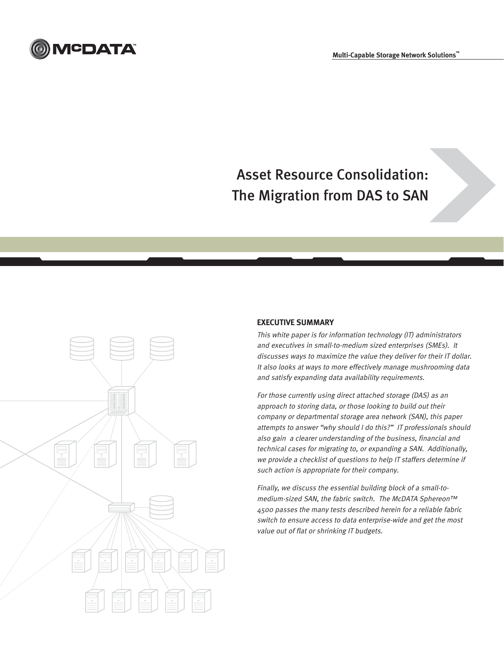

Asset Resource Consolidation: The Migration from DAS to SAN



#### **EXECUTIVE SUMMARY**

This white paper is for information technology (IT) administrators and executives in small-to-medium sized enterprises (SMEs). It discusses ways to maximize the value they deliver for their IT dollar. It also looks at ways to more effectively manage mushrooming data and satisfy expanding data availability requirements.

For those currently using direct attached storage (DAS) as an approach to storing data, or those looking to build out their company or departmental storage area network (SAN), this paper attempts to answer "why should I do this?" IT professionals should also gain a clearer understanding of the business, financial and technical cases for migrating to, or expanding a SAN. Additionally, we provide a checklist of questions to help IT staffers determine if such action is appropriate for their company.

Finally, we discuss the essential building block of a small-tomedium-sized SAN, the fabric switch. The McDATA Sphereon™ 4500 passes the many tests described herein for a reliable fabric switch to ensure access to data enterprise-wide and get the most value out of flat or shrinking IT budgets.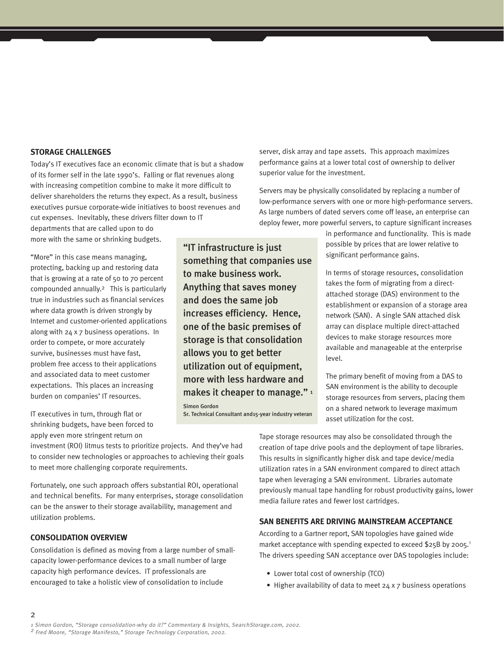#### **STORAGE CHALLENGES**

Today's IT executives face an economic climate that is but a shadow of its former self in the late 1990's. Falling or flat revenues along with increasing competition combine to make it more difficult to deliver shareholders the returns they expect. As a result, business executives pursue corporate-wide initiatives to boost revenues and cut expenses. Inevitably, these drivers filter down to IT departments that are called upon to do more with the same or shrinking budgets.

"More" in this case means managing, protecting, backing up and restoring data that is growing at a rate of 50 to 70 percent compounded annually.2 This is particularly true in industries such as financial services where data growth is driven strongly by Internet and customer-oriented applications along with 24 x 7 business operations. In order to compete, or more accurately survive, businesses must have fast, problem free access to their applications and associated data to meet customer expectations. This places an increasing burden on companies' IT resources.

IT executives in turn, through flat or shrinking budgets, have been forced to apply even more stringent return on

"IT infrastructure is just something that companies use to make business work. Anything that saves money and does the same job increases efficiency. Hence, one of the basic premises of storage is that consolidation allows you to get better utilization out of equipment, more with less hardware and makes it cheaper to manage." 1 Simon Gordon

Sr. Technical Consultant and15-year industry veteran

server, disk array and tape assets. This approach maximizes performance gains at a lower total cost of ownership to deliver superior value for the investment.

Servers may be physically consolidated by replacing a number of low-performance servers with one or more high-performance servers. As large numbers of dated servers come off lease, an enterprise can deploy fewer, more powerful servers, to capture significant increases

> in performance and functionality. This is made possible by prices that are lower relative to significant performance gains.

In terms of storage resources, consolidation takes the form of migrating from a directattached storage (DAS) environment to the establishment or expansion of a storage area network (SAN). A single SAN attached disk array can displace multiple direct-attached devices to make storage resources more available and manageable at the enterprise level.

The primary benefit of moving from a DAS to SAN environment is the ability to decouple storage resources from servers, placing them on a shared network to leverage maximum asset utilization for the cost.

Tape storage resources may also be consolidated through the creation of tape drive pools and the deployment of tape libraries. This results in significantly higher disk and tape device/media utilization rates in a SAN environment compared to direct attach tape when leveraging a SAN environment. Libraries automate previously manual tape handling for robust productivity gains, lower media failure rates and fewer lost cartridges.

### **SAN BENEFITS ARE DRIVING MAINSTREAM ACCEPTANCE**

According to a Gartner report, SAN topologies have gained wide market acceptance with spending expected to exceed \$25B by 2005.<sup>3</sup> The drivers speeding SAN acceptance over DAS topologies include:

- Lower total cost of ownership (TCO)
- Higher availability of data to meet 24 x 7 business operations

investment (ROI) litmus tests to prioritize projects. And they've had to consider new technologies or approaches to achieving their goals to meet more challenging corporate requirements.

Fortunately, one such approach offers substantial ROI, operational and technical benefits. For many enterprises, storage consolidation can be the answer to their storage availability, management and utilization problems.

#### **CONSOLIDATION OVERVIEW**

 $\overline{\mathcal{L}}$ 

Consolidation is defined as moving from a large number of smallcapacity lower-performance devices to a small number of large capacity high performance devices. IT professionals are encouraged to take a holistic view of consolidation to include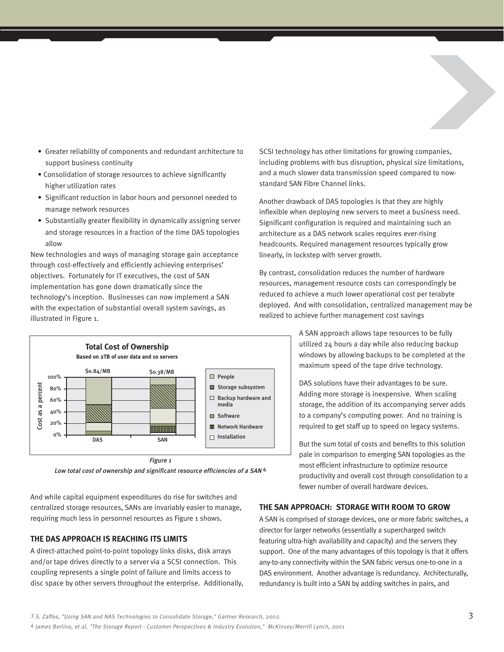- Greater reliability of components and redundant architecture to support business continuity
- Consolidation of storage resources to achieve significantly higher utilization rates
- Significant reduction in labor hours and personnel needed to manage network resources
- Substantially greater flexibility in dynamically assigning server and storage resources in a fraction of the time DAS topologies allow

New technologies and ways of managing storage gain acceptance through cost-effectively and efficiently achieving enterprises' objectives. Fortunately for IT executives, the cost of SAN implementation has gone down dramatically since the technology's inception. Businesses can now implement a SAN with the expectation of substantial overall system savings, as illustrated in Figure 1.



Low total cost of ownership and significant resource efficiencies of a SAN 4

And while capital equipment expenditures do rise for switches and centralized storage resources, SANs are invariably easier to manage, requiring much less in personnel resources as Figure 1 shows.

#### **THE DAS APPROACH IS REACHING ITS LIMITS**

A direct-attached point-to-point topology links disks, disk arrays and/or tape drives directly to a server via a SCSI connection. This coupling represents a single point of failure and limits access to disc space by other servers throughout the enterprise. Additionally, SCSI technology has other limitations for growing companies, including problems with bus disruption, physical size limitations, and a much slower data transmission speed compared to nowstandard SAN Fibre Channel links.

Another drawback of DAS topologies is that they are highly inflexible when deploying new servers to meet a business need. Significant configuration is required and maintaining such an architecture as a DAS network scales requires ever-rising headcounts. Required management resources typically grow linearly, in lockstep with server growth.

By contrast, consolidation reduces the number of hardware resources, management resource costs can correspondingly be reduced to achieve a much lower operational cost per terabyte deployed. And with consolidation, centralized management may be realized to achieve further management cost savings

> A SAN approach allows tape resources to be fully utilized 24 hours a day while also reducing backup windows by allowing backups to be completed at the maximum speed of the tape drive technology.

> DAS solutions have their advantages to be sure. Adding more storage is inexpensive. When scaling storage, the addition of its accompanying server adds to a company's computing power. And no training is required to get staff up to speed on legacy systems.

But the sum total of costs and benefits to this solution pale in comparison to emerging SAN topologies as the most efficient infrastructure to optimize resource productivity and overall cost through consolidation to a fewer number of overall hardware devices.

#### **THE SAN APPROACH: STORAGE WITH ROOM TO GROW**

A SAN is comprised of storage devices, one or more fabric switches, a director for larger networks (essentially a supercharged switch featuring ultra-high availability and capacity) and the servers they support. One of the many advantages of this topology is that it offers any-to-any connectivity within the SAN fabric versus one-to-one in a DAS environment. Another advantage is redundancy. Architecturally, redundancy is built into a SAN by adding switches in pairs, and

<sup>4</sup> James Berlino, et al, "The Storage Report - Customer Perspectives & Industry Evolution," McKinsey/Merrill Lynch, 2001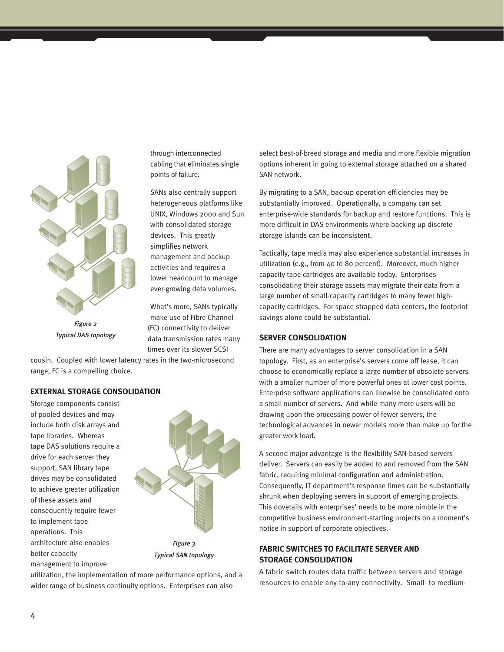

through interconnected cabling that eliminates single points of failure.

SANs also centrally support heterogeneous platforms like UNIX, Windows 2000 and Sun with consolidated storage devices. This greatly simplifies network management and backup activities and requires a lower headcount to manage ever-growing data volumes.

What's more, SANs typically make use of Fibre Channel (FC) connectivity to deliver data transmission rates many times over its slower SCSI

cousin. Coupled with lower latency rates in the two-microsecond range, FC is a compelling choice.

### **EXTERNAL STORAGE CONSOLIDATION**

Storage components consist of pooled devices and may include both disk arrays and tape libraries. Whereas tape DAS solutions require a drive for each server they support, SAN library tape drives may be consolidated to achieve greater utilization of these assets and consequently require fewer to implement tape operations. This architecture also enables better capacity management to improve



Typical SAN topology

utilization, the implementation of more performance options, and a wider range of business continuity options. Enterprises can also

select best-of-breed storage and media and more flexible migration options inherent in going to external storage attached on a shared SAN network.

By migrating to a SAN, backup operation efficiencies may be substantially improved. Operationally, a company can set enterprise-wide standards for backup and restore functions. This is more difficult in DAS environments where backing up discrete storage islands can be inconsistent.

Tactically, tape media may also experience substantial increases in utilization (e.g., from 40 to 80 percent). Moreover, much higher capacity tape cartridges are available today. Enterprises consolidating their storage assets may migrate their data from a large number of small-capacity cartridges to many fewer highcapacity cartridges. For space-strapped data centers, the footprint savings alone could be substantial.

#### **SERVER CONSOLIDATION**

There are many advantages to server consolidation in a SAN topology. First, as an enterprise's servers come off lease, it can choose to economically replace a large number of obsolete servers with a smaller number of more powerful ones at lower cost points. Enterprise software applications can likewise be consolidated onto a small number of servers. And while many more users will be drawing upon the processing power of fewer servers, the technological advances in newer models more than make up for the greater work load.

A second major advantage is the flexibility SAN-based servers deliver. Servers can easily be added to and removed from the SAN fabric, requiring minimal configuration and administration. Consequently, IT department's response times can be substantially shrunk when deploying servers in support of emerging projects. This dovetails with enterprises' needs to be more nimble in the competitive business environment-starting projects on a moment's notice in support of corporate objectives.

# **FABRIC SWITCHES TO FACILITATE SERVER AND STORAGE CONSOLIDATION**

A fabric switch routes data traffic between servers and storage resources to enable any-to-any connectivity. Small- to medium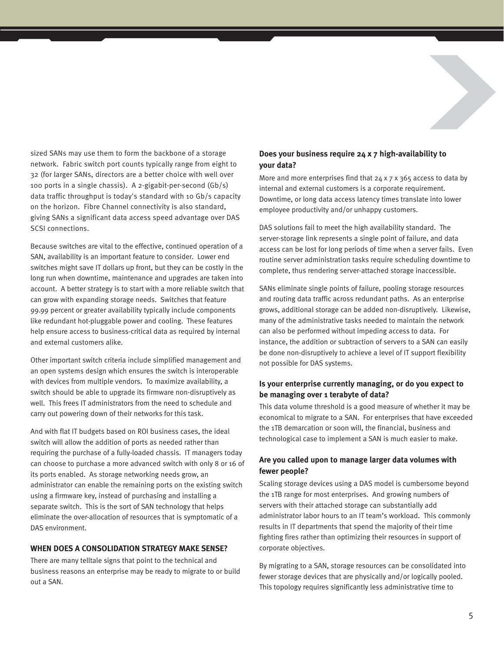sized SANs may use them to form the backbone of a storage network. Fabric switch port counts typically range from eight to 32 (for larger SANs, directors are a better choice with well over 100 ports in a single chassis). A 2-gigabit-per-second (Gb/s) data traffic throughput is today's standard with 10 Gb/s capacity on the horizon. Fibre Channel connectivity is also standard, giving SANs a significant data access speed advantage over DAS SCSI connections.

Because switches are vital to the effective, continued operation of a SAN, availability is an important feature to consider. Lower end switches might save IT dollars up front, but they can be costly in the long run when downtime, maintenance and upgrades are taken into account. A better strategy is to start with a more reliable switch that can grow with expanding storage needs. Switches that feature 99.99 percent or greater availability typically include components like redundant hot-pluggable power and cooling. These features help ensure access to business-critical data as required by internal and external customers alike.

Other important switch criteria include simplified management and an open systems design which ensures the switch is interoperable with devices from multiple vendors. To maximize availability, a switch should be able to upgrade its firmware non-disruptively as well. This frees IT administrators from the need to schedule and carry out powering down of their networks for this task.

And with flat IT budgets based on ROI business cases, the ideal switch will allow the addition of ports as needed rather than requiring the purchase of a fully-loaded chassis. IT managers today can choose to purchase a more advanced switch with only 8 or 16 of its ports enabled. As storage networking needs grow, an administrator can enable the remaining ports on the existing switch using a firmware key, instead of purchasing and installing a separate switch. This is the sort of SAN technology that helps eliminate the over-allocation of resources that is symptomatic of a DAS environment.

### **WHEN DOES A CONSOLIDATION STRATEGY MAKE SENSE?**

There are many telltale signs that point to the technical and business reasons an enterprise may be ready to migrate to or build out a SAN.

### **Does your business require 24 x 7 high-availability to your data?**

More and more enterprises find that 24 x 7 x 365 access to data by internal and external customers is a corporate requirement. Downtime, or long data access latency times translate into lower employee productivity and/or unhappy customers.

DAS solutions fail to meet the high availability standard. The server-storage link represents a single point of failure, and data access can be lost for long periods of time when a server fails. Even routine server administration tasks require scheduling downtime to complete, thus rendering server-attached storage inaccessible.

SANs eliminate single points of failure, pooling storage resources and routing data traffic across redundant paths. As an enterprise grows, additional storage can be added non-disruptively. Likewise, many of the administrative tasks needed to maintain the network can also be performed without impeding access to data. For instance, the addition or subtraction of servers to a SAN can easily be done non-disruptively to achieve a level of IT support flexibility not possible for DAS systems.

# **Is your enterprise currently managing, or do you expect to be managing over 1 terabyte of data?**

This data volume threshold is a good measure of whether it may be economical to migrate to a SAN. For enterprises that have exceeded the 1TB demarcation or soon will, the financial, business and technological case to implement a SAN is much easier to make.

# **Are you called upon to manage larger data volumes with fewer people?**

Scaling storage devices using a DAS model is cumbersome beyond the 1TB range for most enterprises. And growing numbers of servers with their attached storage can substantially add administrator labor hours to an IT team's workload. This commonly results in IT departments that spend the majority of their time fighting fires rather than optimizing their resources in support of corporate objectives.

By migrating to a SAN, storage resources can be consolidated into fewer storage devices that are physically and/or logically pooled. This topology requires significantly less administrative time to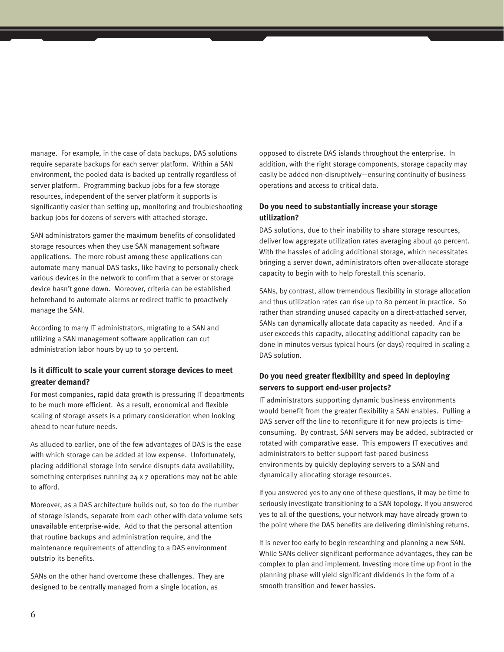manage. For example, in the case of data backups, DAS solutions require separate backups for each server platform. Within a SAN environment, the pooled data is backed up centrally regardless of server platform. Programming backup jobs for a few storage resources, independent of the server platform it supports is significantly easier than setting up, monitoring and troubleshooting backup jobs for dozens of servers with attached storage.

SAN administrators garner the maximum benefits of consolidated storage resources when they use SAN management software applications. The more robust among these applications can automate many manual DAS tasks, like having to personally check various devices in the network to confirm that a server or storage device hasn't gone down. Moreover, criteria can be established beforehand to automate alarms or redirect traffic to proactively manage the SAN.

According to many IT administrators, migrating to a SAN and utilizing a SAN management software application can cut administration labor hours by up to 50 percent.

# **Is it difficult to scale your current storage devices to meet greater demand?**

For most companies, rapid data growth is pressuring IT departments to be much more efficient. As a result, economical and flexible scaling of storage assets is a primary consideration when looking ahead to near-future needs.

As alluded to earlier, one of the few advantages of DAS is the ease with which storage can be added at low expense. Unfortunately, placing additional storage into service disrupts data availability, something enterprises running 24 x 7 operations may not be able to afford.

Moreover, as a DAS architecture builds out, so too do the number of storage islands, separate from each other with data volume sets unavailable enterprise-wide. Add to that the personal attention that routine backups and administration require, and the maintenance requirements of attending to a DAS environment outstrip its benefits.

SANs on the other hand overcome these challenges. They are designed to be centrally managed from a single location, as

opposed to discrete DAS islands throughout the enterprise. In addition, with the right storage components, storage capacity may easily be added non-disruptively—ensuring continuity of business operations and access to critical data.

# **Do you need to substantially increase your storage utilization?**

DAS solutions, due to their inability to share storage resources, deliver low aggregate utilization rates averaging about 40 percent. With the hassles of adding additional storage, which necessitates bringing a server down, administrators often over-allocate storage capacity to begin with to help forestall this scenario.

SANs, by contrast, allow tremendous flexibility in storage allocation and thus utilization rates can rise up to 80 percent in practice. So rather than stranding unused capacity on a direct-attached server, SANs can dynamically allocate data capacity as needed. And if a user exceeds this capacity, allocating additional capacity can be done in minutes versus typical hours (or days) required in scaling a DAS solution.

# **Do you need greater flexibility and speed in deploying servers to support end-user projects?**

IT administrators supporting dynamic business environments would benefit from the greater flexibility a SAN enables. Pulling a DAS server off the line to reconfigure it for new projects is timeconsuming. By contrast, SAN servers may be added, subtracted or rotated with comparative ease. This empowers IT executives and administrators to better support fast-paced business environments by quickly deploying servers to a SAN and dynamically allocating storage resources.

If you answered yes to any one of these questions, it may be time to seriously investigate transitioning to a SAN topology. If you answered yes to all of the questions, your network may have already grown to the point where the DAS benefits are delivering diminishing returns.

It is never too early to begin researching and planning a new SAN. While SANs deliver significant performance advantages, they can be complex to plan and implement. Investing more time up front in the planning phase will yield significant dividends in the form of a smooth transition and fewer hassles.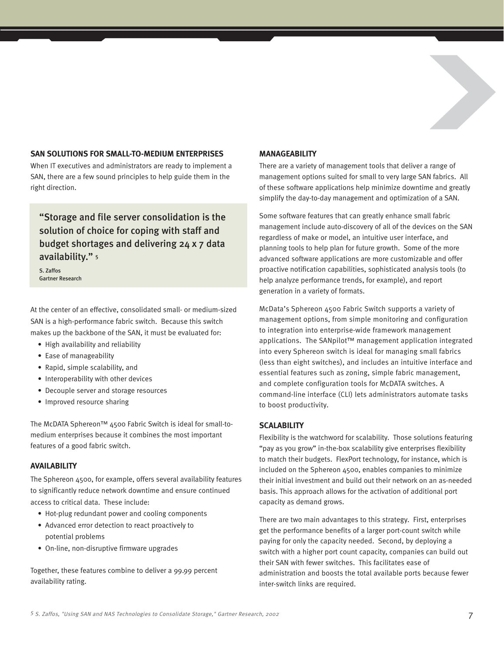# **SAN SOLUTIONS FOR SMALL-TO-MEDIUM ENTERPRISES**

When IT executives and administrators are ready to implement a SAN, there are a few sound principles to help guide them in the right direction.

"Storage and file server consolidation is the solution of choice for coping with staff and budget shortages and delivering 24 x 7 data availability." 5

S. Zaffos Gartner Research

At the center of an effective, consolidated small- or medium-sized SAN is a high-performance fabric switch. Because this switch makes up the backbone of the SAN, it must be evaluated for:

- High availability and reliability
- Ease of manageability
- Rapid, simple scalability, and
- Interoperability with other devices
- Decouple server and storage resources
- Improved resource sharing

The McDATA Sphereon™ 4500 Fabric Switch is ideal for small-tomedium enterprises because it combines the most important features of a good fabric switch.

### **AVAILABILITY**

The Sphereon 4500, for example, offers several availability features to significantly reduce network downtime and ensure continued access to critical data. These include:

- Hot-plug redundant power and cooling components
- Advanced error detection to react proactively to potential problems
- On-line, non-disruptive firmware upgrades

Together, these features combine to deliver a 99.99 percent availability rating.

### **MANAGEABILITY**

There are a variety of management tools that deliver a range of management options suited for small to very large SAN fabrics. All of these software applications help minimize downtime and greatly simplify the day-to-day management and optimization of a SAN.

Some software features that can greatly enhance small fabric management include auto-discovery of all of the devices on the SAN regardless of make or model, an intuitive user interface, and planning tools to help plan for future growth. Some of the more advanced software applications are more customizable and offer proactive notification capabilities, sophisticated analysis tools (to help analyze performance trends, for example), and report generation in a variety of formats.

McData's Sphereon 4500 Fabric Switch supports a variety of management options, from simple monitoring and configuration to integration into enterprise-wide framework management applications. The SANpilot™ management application integrated into every Sphereon switch is ideal for managing small fabrics (less than eight switches), and includes an intuitive interface and essential features such as zoning, simple fabric management, and complete configuration tools for McDATA switches. A command-line interface (CLI) lets administrators automate tasks to boost productivity.

### **SCALABILITY**

Flexibility is the watchword for scalability. Those solutions featuring "pay as you grow" in-the-box scalability give enterprises flexibility to match their budgets. FlexPort technology, for instance, which is included on the Sphereon 4500, enables companies to minimize their initial investment and build out their network on an as-needed basis. This approach allows for the activation of additional port capacity as demand grows.

There are two main advantages to this strategy. First, enterprises get the performance benefits of a larger port-count switch while paying for only the capacity needed. Second, by deploying a switch with a higher port count capacity, companies can build out their SAN with fewer switches. This facilitates ease of administration and boosts the total available ports because fewer inter-switch links are required.